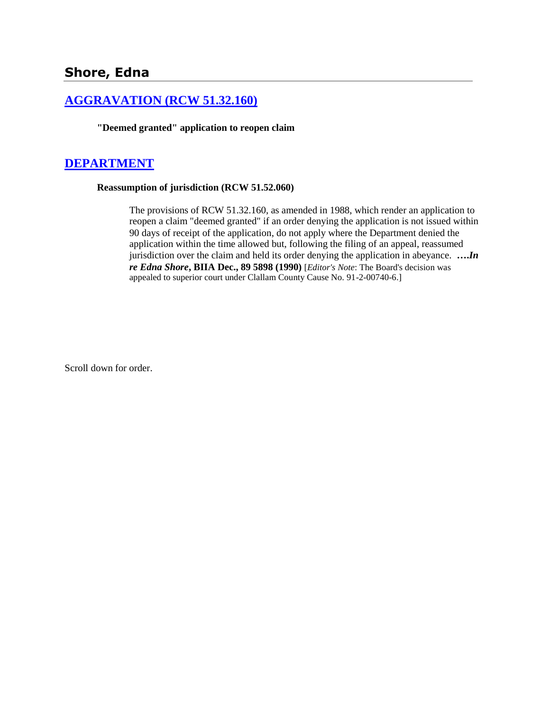# **Shore, Edna**

## **[AGGRAVATION \(RCW 51.32.160\)](http://www.biia.wa.gov/SDSubjectIndex.html#AGGRAVATION)**

**"Deemed granted" application to reopen claim**

### **[DEPARTMENT](http://www.biia.wa.gov/SDSubjectIndex.html#DEPARTMENT)**

#### **Reassumption of jurisdiction (RCW 51.52.060)**

The provisions of RCW 51.32.160, as amended in 1988, which render an application to reopen a claim "deemed granted" if an order denying the application is not issued within 90 days of receipt of the application, do not apply where the Department denied the application within the time allowed but, following the filing of an appeal, reassumed jurisdiction over the claim and held its order denying the application in abeyance. **….***In re Edna Shore***, BIIA Dec., 89 5898 (1990)** [*Editor's Note*: The Board's decision was appealed to superior court under Clallam County Cause No. 91-2-00740-6.]

Scroll down for order.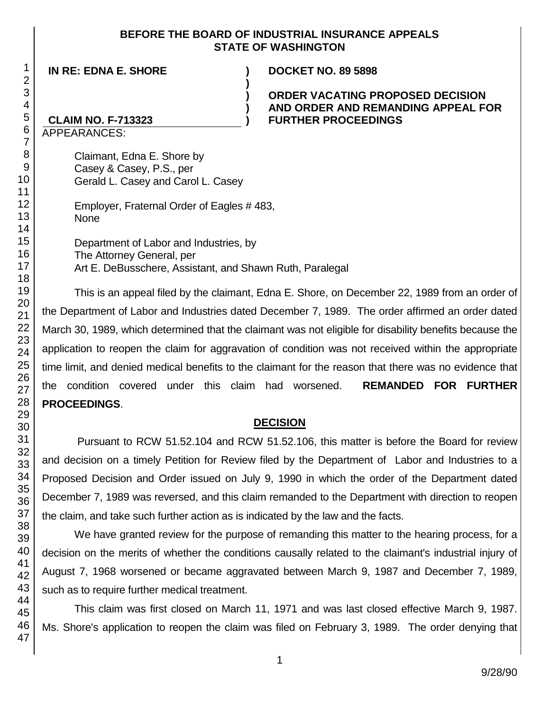#### **BEFORE THE BOARD OF INDUSTRIAL INSURANCE APPEALS STATE OF WASHINGTON**

**)**

**) ) )**

**IN RE: EDNA E. SHORE )**

**DOCKET NO. 89 5898**

### **ORDER VACATING PROPOSED DECISION AND ORDER AND REMANDING APPEAL FOR FURTHER PROCEEDINGS**

## **CLAIM NO. F-713323**

APPEARANCES:

Claimant, Edna E. Shore by Casey & Casey, P.S., per Gerald L. Casey and Carol L. Casey

Employer, Fraternal Order of Eagles # 483, None

Department of Labor and Industries, by The Attorney General, per Art E. DeBusschere, Assistant, and Shawn Ruth, Paralegal

This is an appeal filed by the claimant, Edna E. Shore, on December 22, 1989 from an order of the Department of Labor and Industries dated December 7, 1989. The order affirmed an order dated March 30, 1989, which determined that the claimant was not eligible for disability benefits because the application to reopen the claim for aggravation of condition was not received within the appropriate time limit, and denied medical benefits to the claimant for the reason that there was no evidence that the condition covered under this claim had worsened. **REMANDED FOR FURTHER PROCEEDINGS**.

### **DECISION**

Pursuant to RCW 51.52.104 and RCW 51.52.106, this matter is before the Board for review and decision on a timely Petition for Review filed by the Department of Labor and Industries to a Proposed Decision and Order issued on July 9, 1990 in which the order of the Department dated December 7, 1989 was reversed, and this claim remanded to the Department with direction to reopen the claim, and take such further action as is indicated by the law and the facts.

We have granted review for the purpose of remanding this matter to the hearing process, for a decision on the merits of whether the conditions causally related to the claimant's industrial injury of August 7, 1968 worsened or became aggravated between March 9, 1987 and December 7, 1989, such as to require further medical treatment.

This claim was first closed on March 11, 1971 and was last closed effective March 9, 1987. Ms. Shore's application to reopen the claim was filed on February 3, 1989. The order denying that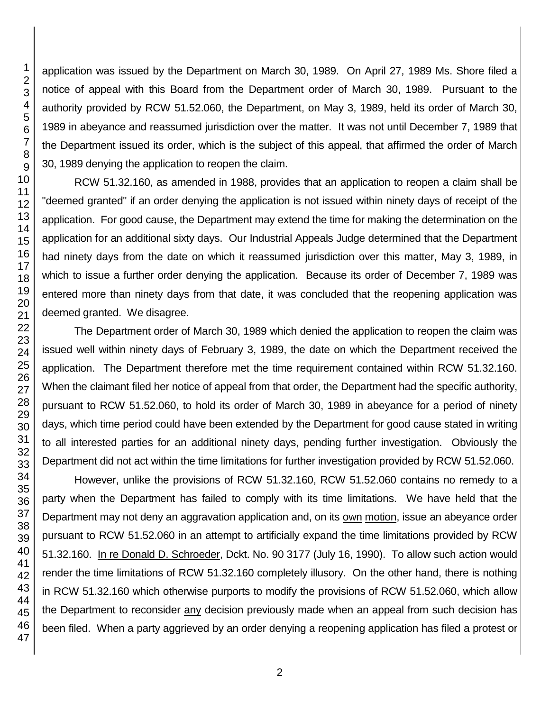application was issued by the Department on March 30, 1989. On April 27, 1989 Ms. Shore filed a notice of appeal with this Board from the Department order of March 30, 1989. Pursuant to the authority provided by RCW 51.52.060, the Department, on May 3, 1989, held its order of March 30, 1989 in abeyance and reassumed jurisdiction over the matter. It was not until December 7, 1989 that the Department issued its order, which is the subject of this appeal, that affirmed the order of March 30, 1989 denying the application to reopen the claim.

RCW 51.32.160, as amended in 1988, provides that an application to reopen a claim shall be "deemed granted" if an order denying the application is not issued within ninety days of receipt of the application. For good cause, the Department may extend the time for making the determination on the application for an additional sixty days. Our Industrial Appeals Judge determined that the Department had ninety days from the date on which it reassumed jurisdiction over this matter, May 3, 1989, in which to issue a further order denying the application. Because its order of December 7, 1989 was entered more than ninety days from that date, it was concluded that the reopening application was deemed granted. We disagree.

The Department order of March 30, 1989 which denied the application to reopen the claim was issued well within ninety days of February 3, 1989, the date on which the Department received the application. The Department therefore met the time requirement contained within RCW 51.32.160. When the claimant filed her notice of appeal from that order, the Department had the specific authority, pursuant to RCW 51.52.060, to hold its order of March 30, 1989 in abeyance for a period of ninety days, which time period could have been extended by the Department for good cause stated in writing to all interested parties for an additional ninety days, pending further investigation. Obviously the Department did not act within the time limitations for further investigation provided by RCW 51.52.060.

However, unlike the provisions of RCW 51.32.160, RCW 51.52.060 contains no remedy to a party when the Department has failed to comply with its time limitations. We have held that the Department may not deny an aggravation application and, on its own motion, issue an abeyance order pursuant to RCW 51.52.060 in an attempt to artificially expand the time limitations provided by RCW 51.32.160. In re Donald D. Schroeder, Dckt. No. 90 3177 (July 16, 1990). To allow such action would render the time limitations of RCW 51.32.160 completely illusory. On the other hand, there is nothing in RCW 51.32.160 which otherwise purports to modify the provisions of RCW 51.52.060, which allow the Department to reconsider any decision previously made when an appeal from such decision has been filed. When a party aggrieved by an order denying a reopening application has filed a protest or